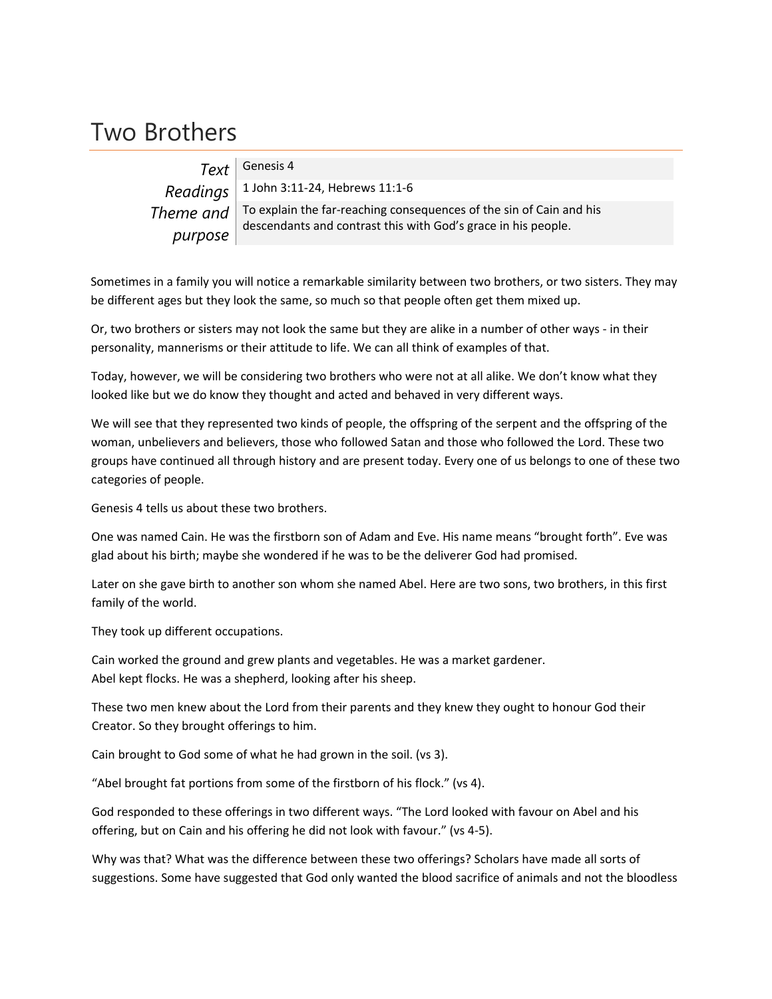## Two Brothers

|         | $Text$ Genesis 4                                                                                                                                       |
|---------|--------------------------------------------------------------------------------------------------------------------------------------------------------|
|         | $Readings \mid 1$ John 3:11-24, Hebrews 11:1-6                                                                                                         |
|         | Theme and $\vert$ To explain the far-reaching consequences of the sin of Cain and his<br>descendants and contrast this with God's grace in his people. |
| purpose |                                                                                                                                                        |

Sometimes in a family you will notice a remarkable similarity between two brothers, or two sisters. They may be different ages but they look the same, so much so that people often get them mixed up.

Or, two brothers or sisters may not look the same but they are alike in a number of other ways ‐ in their personality, mannerisms or their attitude to life. We can all think of examples of that.

Today, however, we will be considering two brothers who were not at all alike. We don't know what they looked like but we do know they thought and acted and behaved in very different ways.

We will see that they represented two kinds of people, the offspring of the serpent and the offspring of the woman, unbelievers and believers, those who followed Satan and those who followed the Lord. These two groups have continued all through history and are present today. Every one of us belongs to one of these two categories of people.

Genesis 4 tells us about these two brothers.

One was named Cain. He was the firstborn son of Adam and Eve. His name means "brought forth". Eve was glad about his birth; maybe she wondered if he was to be the deliverer God had promised.

Later on she gave birth to another son whom she named Abel. Here are two sons, two brothers, in this first family of the world.

They took up different occupations.

Cain worked the ground and grew plants and vegetables. He was a market gardener. Abel kept flocks. He was a shepherd, looking after his sheep.

These two men knew about the Lord from their parents and they knew they ought to honour God their Creator. So they brought offerings to him.

Cain brought to God some of what he had grown in the soil. (vs 3).

"Abel brought fat portions from some of the firstborn of his flock." (vs 4).

God responded to these offerings in two different ways. "The Lord looked with favour on Abel and his offering, but on Cain and his offering he did not look with favour." (vs 4‐5).

Why was that? What was the difference between these two offerings? Scholars have made all sorts of suggestions. Some have suggested that God only wanted the blood sacrifice of animals and not the bloodless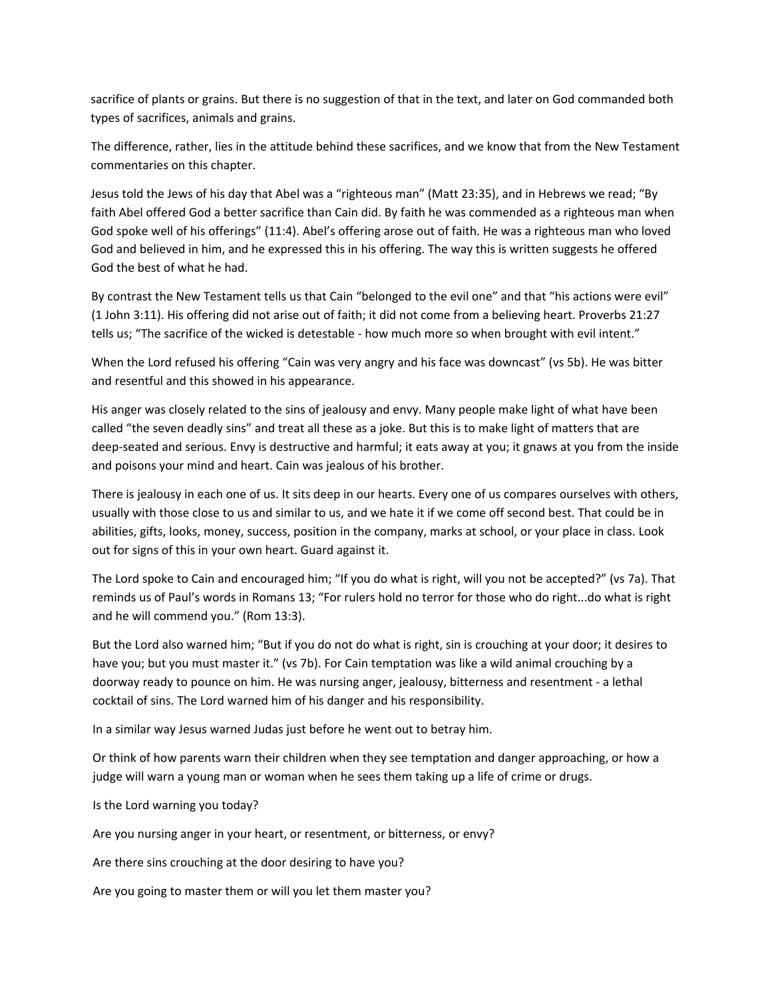sacrifice of plants or grains. But there is no suggestion of that in the text, and later on God commanded both types of sacrifices, animals and grains.

The difference, rather, lies in the attitude behind these sacrifices, and we know that from the New Testament commentaries on this chapter.

Jesus told the Jews of his day that Abel was a "righteous man" (Matt 23:35), and in Hebrews we read; "By faith Abel offered God a better sacrifice than Cain did. By faith he was commended as a righteous man when God spoke well of his offerings" (11:4). Abel's offering arose out of faith. He was a righteous man who loved God and believed in him, and he expressed this in his offering. The way this is written suggests he offered God the best of what he had.

By contrast the New Testament tells us that Cain "belonged to the evil one" and that "his actions were evil" (1 John 3:11). His offering did not arise out of faith; it did not come from a believing heart. Proverbs 21:27 tells us; "The sacrifice of the wicked is detestable - how much more so when brought with evil intent."

When the Lord refused his offering "Cain was very angry and his face was downcast" (vs 5b). He was bitter and resentful and this showed in his appearance.

His anger was closely related to the sins of jealousy and envy. Many people make light of what have been called "the seven deadly sins" and treat all these as a joke. But this is to make light of matters that are deep-seated and serious. Envy is destructive and harmful; it eats away at you; it gnaws at you from the inside and poisons your mind and heart. Cain was jealous of his brother.

There is jealousy in each one of us. It sits deep in our hearts. Every one of us compares ourselves with others, usually with those close to us and similar to us, and we hate it if we come off second best. That could be in abilities, gifts, looks, money, success, position in the company, marks at school, or your place in class. Look out for signs of this in your own heart. Guard against it.

The Lord spoke to Cain and encouraged him; "If you do what is right, will you not be accepted?" (vs 7a). That reminds us of Paul's words in Romans 13; "For rulers hold no terror for those who do right...do what is right and he will commend you." (Rom 13:3).

But the Lord also warned him; "But if you do not do what is right, sin is crouching at your door; it desires to have you; but you must master it." (vs 7b). For Cain temptation was like a wild animal crouching by a doorway ready to pounce on him. He was nursing anger, jealousy, bitterness and resentment ‐ a lethal cocktail of sins. The Lord warned him of his danger and his responsibility.

In a similar way Jesus warned Judas just before he went out to betray him.

Or think of how parents warn their children when they see temptation and danger approaching, or how a judge will warn a young man or woman when he sees them taking up a life of crime or drugs.

Is the Lord warning you today?

Are you nursing anger in your heart, or resentment, or bitterness, or envy?

Are there sins crouching at the door desiring to have you?

Are you going to master them or will you let them master you?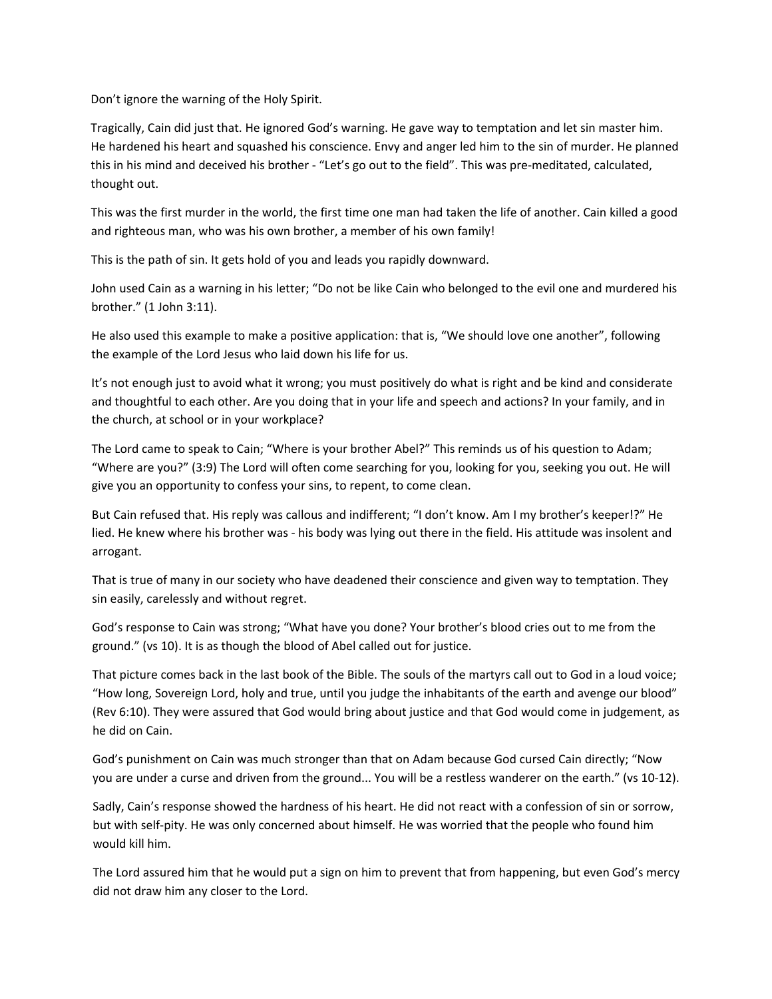Don't ignore the warning of the Holy Spirit.

Tragically, Cain did just that. He ignored God's warning. He gave way to temptation and let sin master him. He hardened his heart and squashed his conscience. Envy and anger led him to the sin of murder. He planned this in his mind and deceived his brother ‐ "Let's go out to the field". This was pre‐meditated, calculated, thought out.

This was the first murder in the world, the first time one man had taken the life of another. Cain killed a good and righteous man, who was his own brother, a member of his own family!

This is the path of sin. It gets hold of you and leads you rapidly downward.

John used Cain as a warning in his letter; "Do not be like Cain who belonged to the evil one and murdered his brother." (1 John 3:11).

He also used this example to make a positive application: that is, "We should love one another", following the example of the Lord Jesus who laid down his life for us.

It's not enough just to avoid what it wrong; you must positively do what is right and be kind and considerate and thoughtful to each other. Are you doing that in your life and speech and actions? In your family, and in the church, at school or in your workplace?

The Lord came to speak to Cain; "Where is your brother Abel?" This reminds us of his question to Adam; "Where are you?" (3:9) The Lord will often come searching for you, looking for you, seeking you out. He will give you an opportunity to confess your sins, to repent, to come clean.

But Cain refused that. His reply was callous and indifferent; "I don't know. Am I my brother's keeper!?" He lied. He knew where his brother was ‐ his body was lying out there in the field. His attitude was insolent and arrogant.

That is true of many in our society who have deadened their conscience and given way to temptation. They sin easily, carelessly and without regret.

God's response to Cain was strong; "What have you done? Your brother's blood cries out to me from the ground." (vs 10). It is as though the blood of Abel called out for justice.

That picture comes back in the last book of the Bible. The souls of the martyrs call out to God in a loud voice; "How long, Sovereign Lord, holy and true, until you judge the inhabitants of the earth and avenge our blood" (Rev 6:10). They were assured that God would bring about justice and that God would come in judgement, as he did on Cain.

God's punishment on Cain was much stronger than that on Adam because God cursed Cain directly; "Now you are under a curse and driven from the ground... You will be a restless wanderer on the earth." (vs 10‐12).

Sadly, Cain's response showed the hardness of his heart. He did not react with a confession of sin or sorrow, but with self-pity. He was only concerned about himself. He was worried that the people who found him would kill him.

The Lord assured him that he would put a sign on him to prevent that from happening, but even God's mercy did not draw him any closer to the Lord.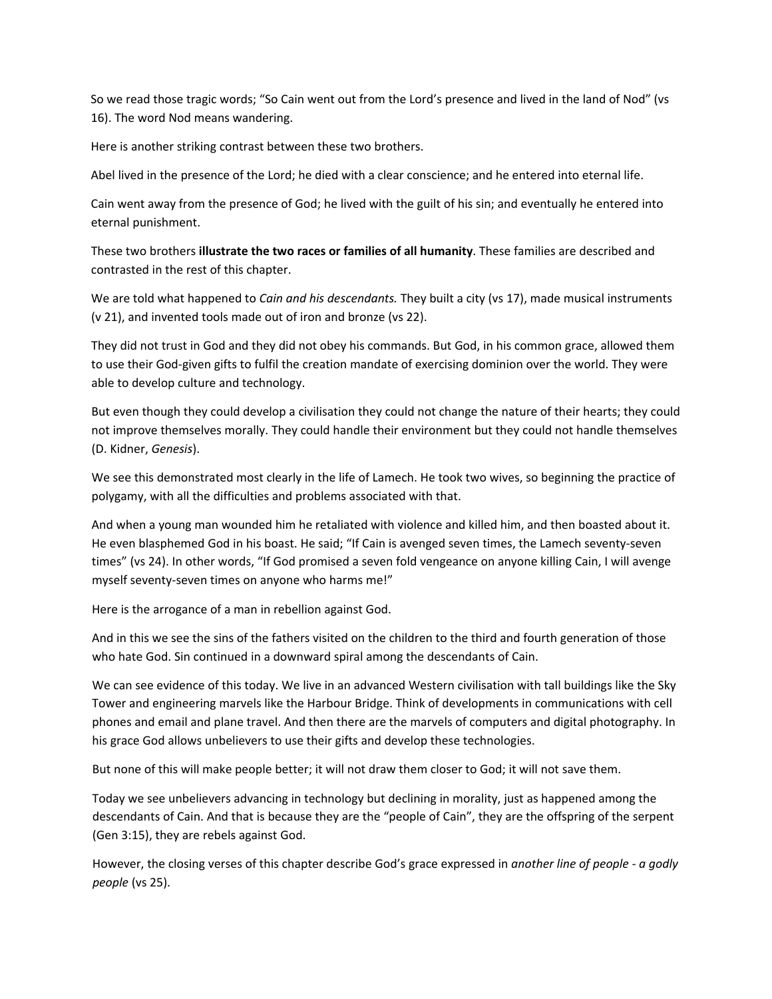So we read those tragic words; "So Cain went out from the Lord's presence and lived in the land of Nod" (vs 16). The word Nod means wandering.

Here is another striking contrast between these two brothers.

Abel lived in the presence of the Lord; he died with a clear conscience; and he entered into eternal life.

Cain went away from the presence of God; he lived with the guilt of his sin; and eventually he entered into eternal punishment.

These two brothers **illustrate the two races or families of all humanity**. These families are described and contrasted in the rest of this chapter.

We are told what happened to *Cain and his descendants.* They built a city (vs 17), made musical instruments (v 21), and invented tools made out of iron and bronze (vs 22).

They did not trust in God and they did not obey his commands. But God, in his common grace, allowed them to use their God‐given gifts to fulfil the creation mandate of exercising dominion over the world. They were able to develop culture and technology.

But even though they could develop a civilisation they could not change the nature of their hearts; they could not improve themselves morally. They could handle their environment but they could not handle themselves (D. Kidner, *Genesis*).

We see this demonstrated most clearly in the life of Lamech. He took two wives, so beginning the practice of polygamy, with all the difficulties and problems associated with that.

And when a young man wounded him he retaliated with violence and killed him, and then boasted about it. He even blasphemed God in his boast. He said; "If Cain is avenged seven times, the Lamech seventy‐seven times" (vs 24). In other words, "If God promised a seven fold vengeance on anyone killing Cain, I will avenge myself seventy-seven times on anyone who harms me!"

Here is the arrogance of a man in rebellion against God.

And in this we see the sins of the fathers visited on the children to the third and fourth generation of those who hate God. Sin continued in a downward spiral among the descendants of Cain.

We can see evidence of this today. We live in an advanced Western civilisation with tall buildings like the Sky Tower and engineering marvels like the Harbour Bridge. Think of developments in communications with cell phones and email and plane travel. And then there are the marvels of computers and digital photography. In his grace God allows unbelievers to use their gifts and develop these technologies.

But none of this will make people better; it will not draw them closer to God; it will not save them.

Today we see unbelievers advancing in technology but declining in morality, just as happened among the descendants of Cain. And that is because they are the "people of Cain", they are the offspring of the serpent (Gen 3:15), they are rebels against God.

However, the closing verses of this chapter describe God's grace expressed in *another line of people ‐ a godly people* (vs 25).